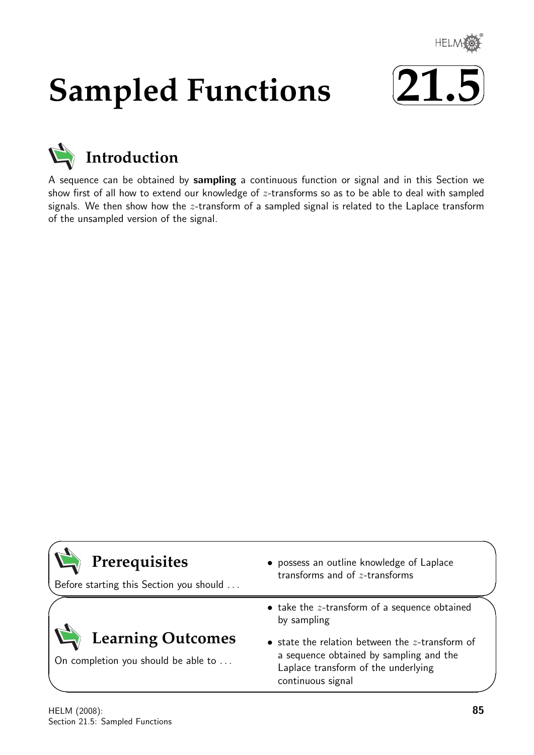

# **Sampled Functions**





A sequence can be obtained by sampling a continuous function or signal and in this Section we show first of all how to extend our knowledge of  $z$ -transforms so as to be able to deal with sampled signals. We then show how the  $z$ -transform of a sampled signal is related to the Laplace transform of the unsampled version of the signal.

| Prerequisites<br>Before starting this Section you should        | • possess an outline knowledge of Laplace<br>transforms and of $z$ -transforms                                                                            |
|-----------------------------------------------------------------|-----------------------------------------------------------------------------------------------------------------------------------------------------------|
|                                                                 | $\bullet$ take the $z$ -transform of a sequence obtained<br>by sampling                                                                                   |
| <b>Learning Outcomes</b><br>On completion you should be able to | • state the relation between the $z$ -transform of<br>a sequence obtained by sampling and the<br>Laplace transform of the underlying<br>continuous signal |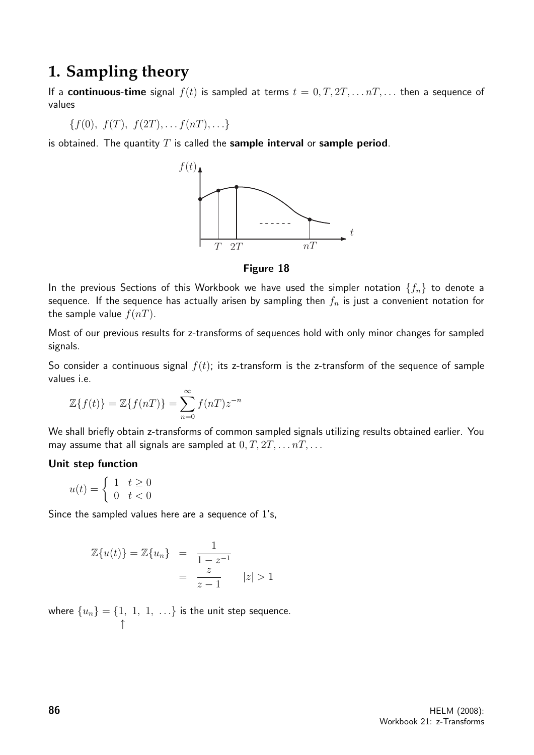## **1. Sampling theory**

If a **continuous-time** signal  $f(t)$  is sampled at terms  $t = 0, T, 2T, \ldots nT, \ldots$  then a sequence of values

$$
\{f(0), f(T), f(2T), \ldots f(nT), \ldots\}
$$

is obtained. The quantity  $T$  is called the sample interval or sample period.



Figure 18

In the previous Sections of this Workbook we have used the simpler notation  $\{f_n\}$  to denote a sequence. If the sequence has actually arisen by sampling then  $f_n$  is just a convenient notation for the sample value  $f(nT)$ .

Most of our previous results for z-transforms of sequences hold with only minor changes for sampled signals.

So consider a continuous signal  $f(t)$ ; its z-transform is the z-transform of the sequence of sample values i.e.

$$
\mathbb{Z}{f(t)} = \mathbb{Z}{f(nT)} = \sum_{n=0}^{\infty} f(nT)z^{-n}
$$

We shall briefly obtain z-transforms of common sampled signals utilizing results obtained earlier. You may assume that all signals are sampled at  $0, T, 2T, \ldots nT, \ldots$ 

#### Unit step function

$$
u(t) = \begin{cases} 1 & t \ge 0 \\ 0 & t < 0 \end{cases}
$$

Since the sampled values here are a sequence of 1's,

$$
\mathbb{Z}{u(t)} = \mathbb{Z}{u_n} = \frac{1}{\frac{1-z^{-1}}{z}}
$$

$$
= \frac{z}{z-1} \qquad |z| > 1
$$

where  $\{u_n\}=\{1,~1,~1,~\ldots\}$  is the unit step sequence. ↑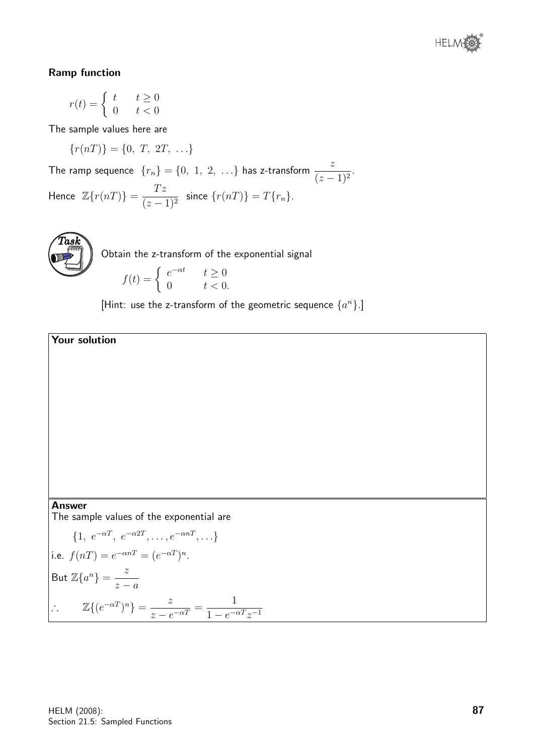

#### Ramp function

$$
r(t) = \begin{cases} t & t \ge 0\\ 0 & t < 0 \end{cases}
$$

The sample values here are

$$
\{r(nT)\} = \{0, T, 2T, \ldots\}
$$

The ramp sequence  $\{r_n\} = \{0, 1, 2, ...\}$  has z-transform  $\frac{z}{(z-1)^2}$ . Hence  $\mathbb{Z}\lbrace r(nT)\rbrace = \frac{Tz}{\sqrt{z}}$  $\frac{1}{(z-1)^2}$  since  $\{r(nT)\} = T\{r_n\}.$ 



Obtain the z-transform of the exponential signal

$$
f(t) = \begin{cases} e^{-\alpha t} & t \ge 0 \\ 0 & t < 0. \end{cases}
$$

[Hint: use the z-transform of the geometric sequence  $\{a^n\}$ .]



#### Answer

The sample values of the exponential are

$$
\begin{cases}\n\{1, e^{-\alpha T}, e^{-\alpha 2T}, \dots, e^{-\alpha n T}, \dots\} \\
\text{i.e. } f(nT) = e^{-\alpha n T} = (e^{-\alpha T})^n.\n\end{cases}
$$
\n
$$
\text{But } \mathbb{Z}\{a^n\} = \frac{z}{z-a}
$$
\n
$$
\therefore \qquad \mathbb{Z}\{(e^{-\alpha T})^n\} = \frac{z}{z - e^{-\alpha T}} = \frac{1}{1 - e^{-\alpha T}z^{-1}}
$$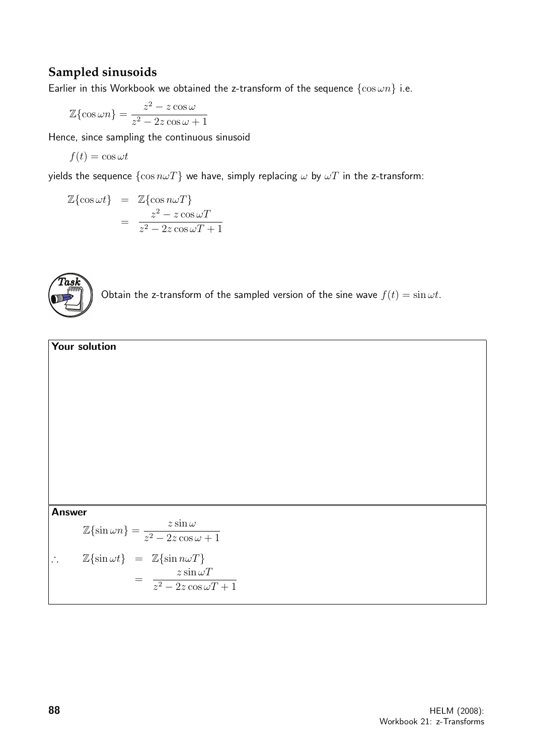#### **Sampled sinusoids**

Earlier in this Workbook we obtained the z-transform of the sequence  $\{\cos \omega n\}$  i.e.

$$
\mathbb{Z}\{\cos \omega n\} = \frac{z^2 - z\cos \omega}{z^2 - 2z\cos \omega + 1}
$$

Hence, since sampling the continuous sinusoid

$$
f(t) = \cos \omega t
$$

yields the sequence  $\{\cos n\omega T\}$  we have, simply replacing  $\omega$  by  $\omega T$  in the z-transform:

$$
\mathbb{Z}\{\cos \omega t\} = \mathbb{Z}\{\cos n\omega T\}
$$

$$
= \frac{z^2 - z\cos \omega T}{z^2 - 2z\cos \omega T + 1}
$$



Obtain the z-transform of the sampled version of the sine wave  $f(t) = \sin \omega t$ .

## Your solution Answer  $\mathbb{Z}\{\sin \omega n\} = \frac{z \sin \omega}{2}$  $z^2 - 2z \cos \omega + 1$  $\therefore$  Z{sin  $\omega t$ } = Z{sin  $n\omega T$ } =  $z \sin \omega T$  $z^2 - 2z \cos \omega T + 1$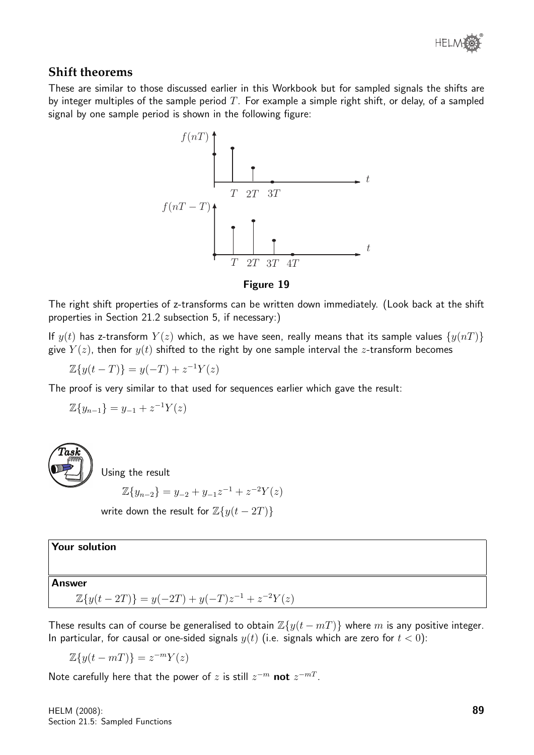

#### **Shift theorems**

These are similar to those discussed earlier in this Workbook but for sampled signals the shifts are by integer multiples of the sample period T. For example a simple right shift, or delay, of a sampled signal by one sample period is shown in the following figure:





The right shift properties of z-transforms can be written down immediately. (Look back at the shift properties in Section 21.2 subsection 5, if necessary:)

If  $y(t)$  has z-transform  $Y(z)$  which, as we have seen, really means that its sample values  $\{y(nT)\}$ give  $Y(z)$ , then for  $y(t)$  shifted to the right by one sample interval the z-transform becomes

$$
\mathbb{Z}{y(t-T)} = y(-T) + z^{-1}Y(z)
$$

The proof is very similar to that used for sequences earlier which gave the result:

$$
\mathbb{Z}\{y_{n-1}\}=y_{-1}+z^{-1}Y(z)
$$



Using the result

$$
\mathbb{Z}{y_{n-2}} = y_{-2} + y_{-1}z^{-1} + z^{-2}Y(z)
$$

write down the result for  $\mathbb{Z}{y(t-2T)}$ 

#### Your solution

#### Answer

 $\mathbb{Z}{y(t-2T)} = y(-2T) + y(-T)z^{-1} + z^{-2}Y(z)$ 

These results can of course be generalised to obtain  $\mathbb{Z}{y(t-m)}$  where m is any positive integer. In particular, for causal or one-sided signals  $y(t)$  (i.e. signals which are zero for  $t < 0$ ):

 $\mathbb{Z}\lbrace y(t-mT)\rbrace = z^{-m}Y(z)$ 

Note carefully here that the power of z is still  $z^{-m}$  not  $z^{-mT}$ .

HELM (2008): Section 21.5: Sampled Functions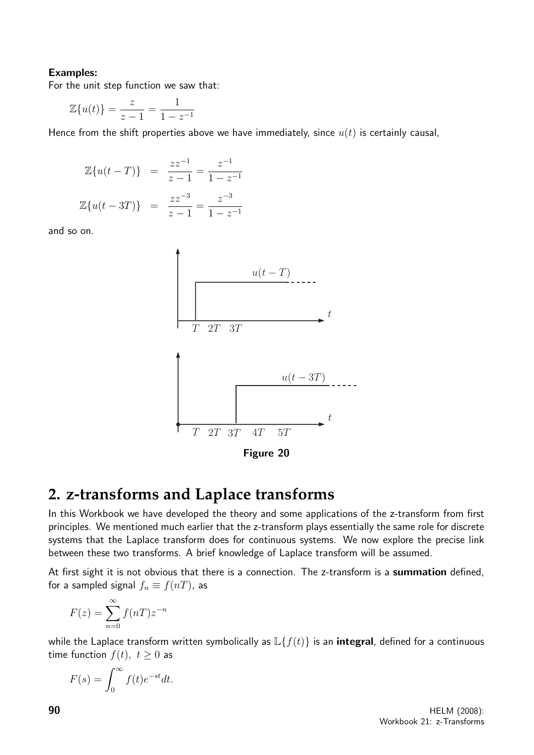#### Examples:

For the unit step function we saw that:

$$
\mathbb{Z}{u(t)} = \frac{z}{z-1} = \frac{1}{1-z^{-1}}
$$

Hence from the shift properties above we have immediately, since  $u(t)$  is certainly causal,

$$
\mathbb{Z}{u(t-T)} = \frac{zz^{-1}}{z-1} = \frac{z^{-1}}{1-z^{-1}}
$$

$$
\mathbb{Z}{u(t-3T)} = \frac{zz^{-3}}{z-1} = \frac{z^{-3}}{1-z^{-1}}
$$

and so on.



Figure 20

## **2. z-transforms and Laplace transforms**

In this Workbook we have developed the theory and some applications of the z-transform from first principles. We mentioned much earlier that the z-transform plays essentially the same role for discrete systems that the Laplace transform does for continuous systems. We now explore the precise link between these two transforms. A brief knowledge of Laplace transform will be assumed.

At first sight it is not obvious that there is a connection. The z-transform is a summation defined, for a sampled signal  $f_n \equiv f(nT)$ , as

$$
F(z) = \sum_{n=0}^{\infty} f(nT) z^{-n}
$$

while the Laplace transform written symbolically as  $\mathbb{L}{f(t)}$  is an **integral**, defined for a continuous time function  $f(t)$ ,  $t \geq 0$  as

$$
F(s) = \int_0^\infty f(t)e^{-st}dt.
$$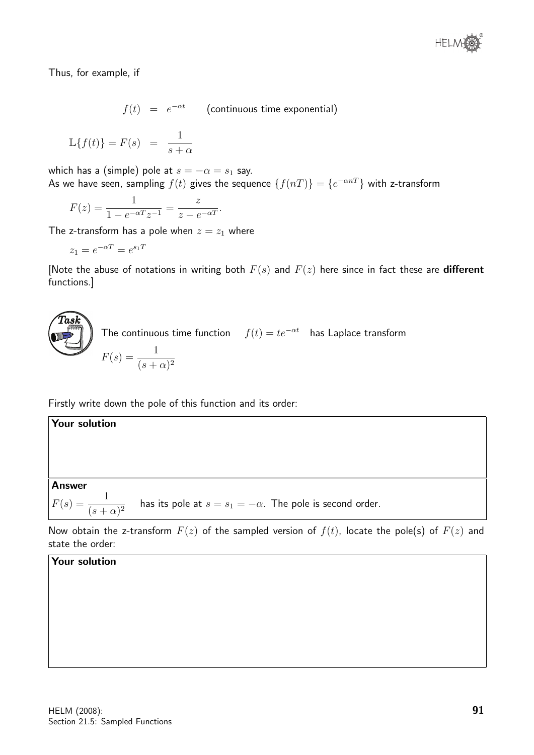Thus, for example, if

 $f(t) = e^{-\alpha t}$  (continuous time exponential)

$$
\mathbb{L}{f(t)} = F(s) = \frac{1}{s+\alpha}
$$

which has a (simple) pole at  $s = -\alpha = s_1$  say. As we have seen, sampling  $f(t)$  gives the sequence  $\{f(nT)\}=\{e^{-\alpha nT}\}$  with z-transform

$$
F(z) = \frac{1}{1 - e^{-\alpha T} z^{-1}} = \frac{z}{z - e^{-\alpha T}}.
$$

The z-transform has a pole when  $z = z_1$  where

$$
z_1 = e^{-\alpha T} = e^{s_1 T}
$$

[Note the abuse of notations in writing both  $F(s)$  and  $F(z)$  here since in fact these are **different** functions.]

**Task**  
The continuous time function 
$$
f(t) = te^{-\alpha t}
$$
 has Laplace transform  

$$
F(s) = \frac{1}{(s+\alpha)^2}
$$

Firstly write down the pole of this function and its order:

Answer  $F(s) = \frac{1}{(s+1)^2}$  $\frac{1}{(s+\alpha)^2}$  has its pole at  $s=s_1=-\alpha$ . The pole is second order.

Now obtain the z-transform  $F(z)$  of the sampled version of  $f(t)$ , locate the pole(s) of  $F(z)$  and state the order:

#### Your solution

Your solution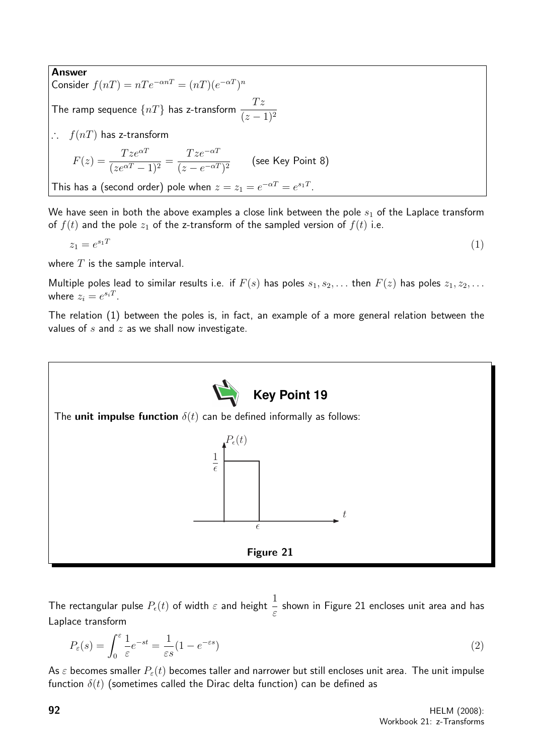Answer Consider  $f(nT) = nTe^{-\alpha nT} = (nT)(e^{-\alpha T})^n$ The ramp sequence  $\{nT\}$  has z-transform  $\frac{Tz}{\sqrt{1-z^2}}$  $(z-1)^2$ ∴  $f(nT)$  has z-transform  $F(z) = \frac{T z e^{\alpha T}}{1 - e^T}$  $\frac{1}{(ze^{\alpha T}-1)^2} =$  $Tze^{-\alpha T}$  $\frac{1}{(z - e^{-\alpha T})^2}$  (see Key Point 8) This has a (second order) pole when  $z=z_1=e^{-\alpha T}=e^{s_1T}$ .

We have seen in both the above examples a close link between the pole  $s<sub>1</sub>$  of the Laplace transform of  $f(t)$  and the pole  $z_1$  of the z-transform of the sampled version of  $f(t)$  i.e.

$$
z_1 = e^{s_1 T} \tag{1}
$$

where  $T$  is the sample interval.

Multiple poles lead to similar results i.e. if  $F(s)$  has poles  $s_1, s_2, \ldots$  then  $F(z)$  has poles  $z_1, z_2, \ldots$ where  $z_i = e^{s_i T}$ .

The relation (1) between the poles is, in fact, an example of a more general relation between the values of  $s$  and  $z$  as we shall now investigate.



The rectangular pulse  $P_\epsilon(t)$  of width  $\varepsilon$  and height  $\frac{1}{\varepsilon}$ shown in Figure 21 encloses unit area and has Laplace transform

$$
P_{\varepsilon}(s) = \int_0^{\varepsilon} \frac{1}{\varepsilon} e^{-st} = \frac{1}{\varepsilon s} (1 - e^{-\varepsilon s})
$$
\n(2)

As  $\varepsilon$  becomes smaller  $P_{\varepsilon}(t)$  becomes taller and narrower but still encloses unit area. The unit impulse function  $\delta(t)$  (sometimes called the Dirac delta function) can be defined as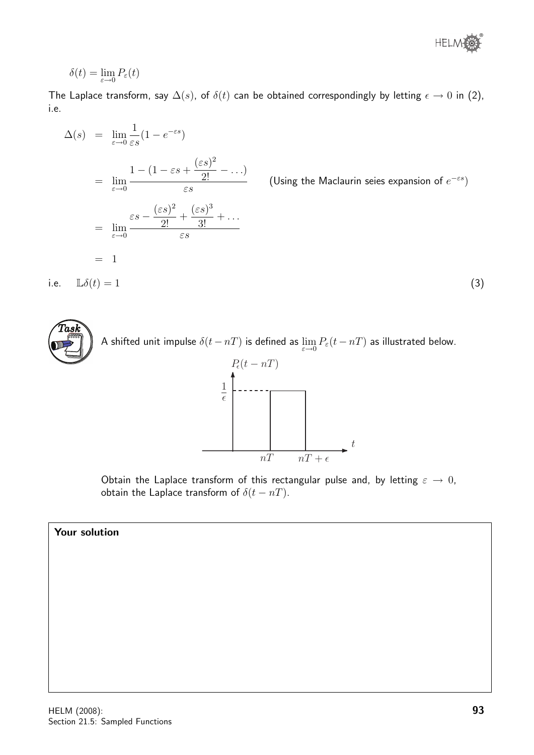

$$
\delta(t)=\lim_{\varepsilon\to 0}P_\varepsilon(t)
$$

The Laplace transform, say  $\Delta(s)$ , of  $\delta(t)$  can be obtained correspondingly by letting  $\epsilon \to 0$  in (2), i.e.

$$
\Delta(s) = \lim_{\varepsilon \to 0} \frac{1}{\varepsilon s} (1 - e^{-\varepsilon s})
$$
\n
$$
= \lim_{\varepsilon \to 0} \frac{1 - (1 - \varepsilon s + \frac{(\varepsilon s)^2}{2!} - \dots)}{\varepsilon s}
$$
\n
$$
= \lim_{\varepsilon \to 0} \frac{\varepsilon s - \frac{(\varepsilon s)^2}{2!} + \frac{(\varepsilon s)^3}{3!} + \dots}{\varepsilon s}
$$
\n
$$
= 1
$$
\ni.e.  $\mathbb{L}\delta(t) = 1$ \n(3)



Obtain the Laplace transform of this rectangular pulse and, by letting  $\varepsilon \to 0$ , obtain the Laplace transform of  $\delta(t - nT)$ .

 $\frac{1}{nT}$   $\frac{nT + \epsilon}{n}$ 

t

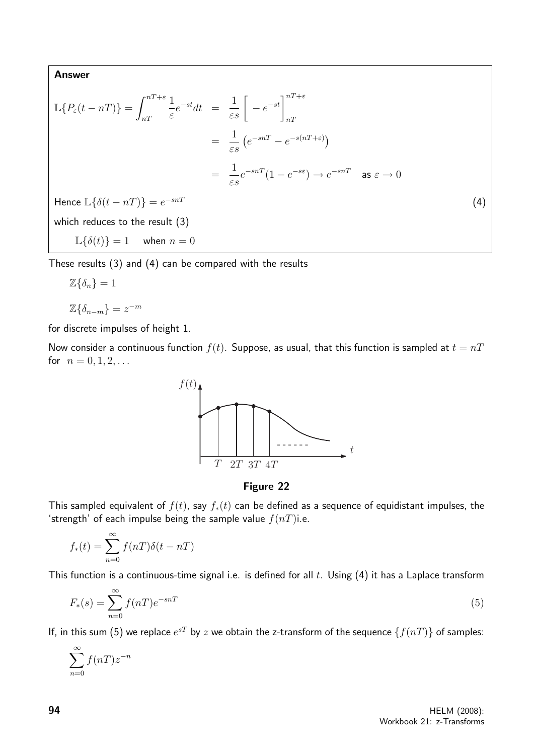Answer

$$
\mathbb{L}\lbrace P_{\varepsilon}(t - nT)\rbrace = \int_{nT}^{nT + \varepsilon} \frac{1}{\varepsilon} e^{-st} dt = \frac{1}{\varepsilon s} \left[ -e^{-st} \right]_{nT}^{nT + \varepsilon}
$$
\n
$$
= \frac{1}{\varepsilon s} \left( e^{-snT} - e^{-s(nT + \varepsilon)} \right)
$$
\n
$$
= \frac{1}{\varepsilon s} e^{-snT} (1 - e^{-s\varepsilon}) \to e^{-snT} \quad \text{as } \varepsilon \to 0
$$
\nHence

\n
$$
\mathbb{L}\lbrace \delta(t - nT) \rbrace = e^{-snT}
$$
\nwhich reduces to the result (3)

\n
$$
\mathbb{L}\lbrace \delta(t) \rbrace = 1 \quad \text{when } n = 0
$$
\n(4)

These results (3) and (4) can be compared with the results

$$
\mathbb{Z}\{\delta_n\}=1
$$

$$
\mathbb{Z}\{\delta_{n-m}\} = z^{-m}
$$

for discrete impulses of height 1.

Now consider a continuous function  $f(t)$ . Suppose, as usual, that this function is sampled at  $t = nT$ for  $n = 0, 1, 2, ...$ 



Figure 22

This sampled equivalent of  $f(t)$ , say  $f_*(t)$  can be defined as a sequence of equidistant impulses, the 'strength' of each impulse being the sample value  $f(nT)$ i.e.

$$
f_*(t) = \sum_{n=0}^{\infty} f(nT)\delta(t - nT)
$$

This function is a continuous-time signal i.e. is defined for all  $t$ . Using (4) it has a Laplace transform

$$
F_*(s) = \sum_{n=0}^{\infty} f(nT)e^{-snT}
$$
\n<sup>(5)</sup>

If, in this sum (5) we replace  $e^{sT}$  by  $z$  we obtain the z-transform of the sequence  $\{f(nT)\}$  of samples:

$$
\sum_{n=0}^{\infty} f(nT) z^{-n}
$$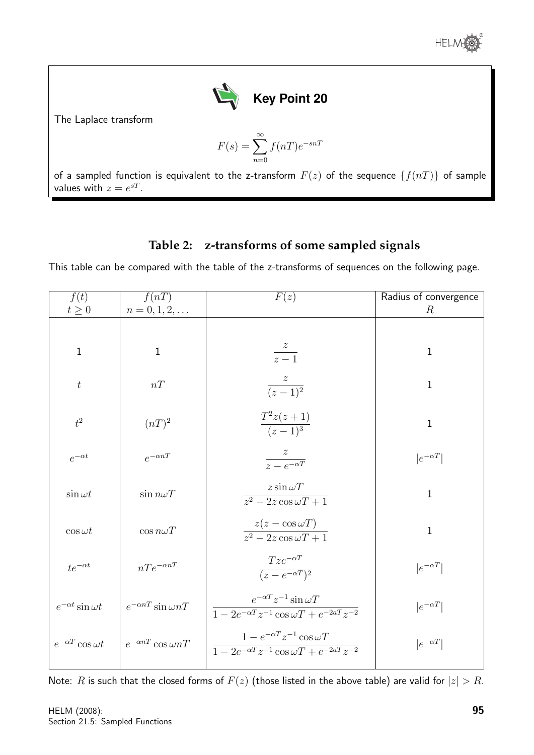

The Laplace transform

$$
F(s) = \sum_{n=0}^{\infty} f(nT)e^{-snT}
$$

of a sampled function is equivalent to the z-transform  $F(z)$  of the sequence  $\{f(nT)\}$  of sample values with  $z = e^{sT}$ .

### **Table 2: z-transforms of some sampled signals**

This table can be compared with the table of the z-transforms of sequences on the following page.

| f(t)<br>$t\geq 0$             | f(nT)<br>$n = 0, 1, 2, \ldots$     | F(z)                                                                                                                                        | Radius of convergence<br>$\boldsymbol{R}$ |
|-------------------------------|------------------------------------|---------------------------------------------------------------------------------------------------------------------------------------------|-------------------------------------------|
|                               |                                    |                                                                                                                                             |                                           |
| $\mathbf{1}$                  | $\mathbf{1}$                       | $\frac{z}{z-1}$                                                                                                                             | $\mathbf{1}$                              |
| $\boldsymbol{t}$              | nT                                 | $\frac{z}{(z-1)^2}$                                                                                                                         | $\mathbf{1}$                              |
| $t^2$                         | $(nT)^2$                           | $rac{T^2z(z+1)}{(z-1)^3}$                                                                                                                   | $\mathbf{1}$                              |
| $e^{-\alpha t}$               | $e^{-\alpha nT}$                   | $\frac{z}{z - e^{-\alpha T}}$                                                                                                               | $ e^{-\alpha T} $                         |
| $\sin \omega t$               | $\sin n\omega T$                   | $z \sin \omega T$<br>$\sqrt{z^2-2z\cos\omega T+1}$                                                                                          | $\mathbf{1}$                              |
| $\cos \omega t$               | $\cos n\omega T$                   | $\frac{z(z-\cos{\omega T})}{z^2-2z\cos{\omega T}+1}$                                                                                        | $\mathbf{1}$                              |
| $te^{-\alpha t}$              | $nTe^{-\alpha nT}$                 | $Tze^{-\alpha T}$<br>$\sqrt{(z-e^{-\alpha T})^2}$                                                                                           | $ e^{-\alpha T} $                         |
| $e^{-\alpha t} \sin \omega t$ | $e^{-\alpha nT} \sin \omega nT$    | $e^{-\alpha T}z^{-1}\sin \omega T$<br>$\frac{1 - 2e^{-\alpha T}z^{-1}\cos \omega T + e^{-2aT}z^{-2}}{1 - 2e^{-\alpha T}z^{-2}}$             | $ e^{-\alpha T} $                         |
| $e^{-\alpha T}\cos \omega t$  | $e^{-\alpha n T} \cos{\omega n T}$ | $1 - e^{-\alpha T} z^{-1} \cos \omega T$<br>$\frac{1 - 2e^{-\alpha T}z^{-1}\cos \omega T + e^{-2\alpha T}z^{-2}}{1 - 2e^{-\alpha T}z^{-2}}$ | $ e^{-\alpha T} $                         |

Note: R is such that the closed forms of  $F(z)$  (those listed in the above table) are valid for  $|z| > R$ .